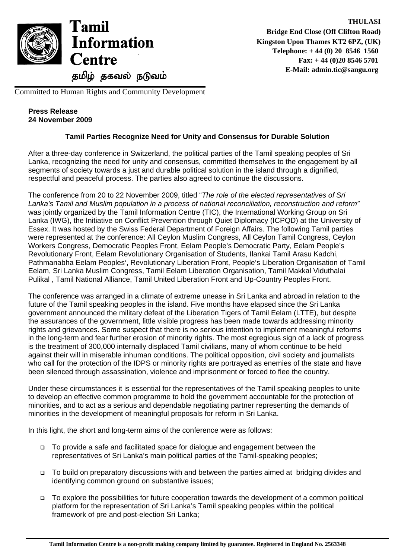

Committed to Human Rights and Community Development

## **Press Release 24 November 2009**

## **Tamil Parties Recognize Need for Unity and Consensus for Durable Solution**

After a three-day conference in Switzerland, the political parties of the Tamil speaking peoples of Sri Lanka, recognizing the need for unity and consensus, committed themselves to the engagement by all segments of society towards a just and durable political solution in the island through a dignified, respectful and peaceful process. The parties also agreed to continue the discussions.

The conference from 20 to 22 November 2009, titled "*The role of the elected representatives of Sri Lanka's Tamil and Muslim population in a process of national reconciliation, reconstruction and reform"* was jointly organized by the Tamil Information Centre (TIC), the International Working Group on Sri Lanka (IWG), the Initiative on Conflict Prevention through Quiet Diplomacy (ICPQD) at the University of Essex. It was hosted by the Swiss Federal Department of Foreign Affairs. The following Tamil parties were represented at the conference: All Ceylon Muslim Congress, All Ceylon Tamil Congress, Ceylon Workers Congress, Democratic Peoples Front, Eelam People's Democratic Party, Eelam People's Revolutionary Front, Eelam Revolutionary Organisation of Students, Ilankai Tamil Arasu Kadchi, Pathmanabha Eelam Peoples', Revolutionary Liberation Front, People's Liberation Organisation of Tamil Eelam, Sri Lanka Muslim Congress, Tamil Eelam Liberation Organisation, Tamil Makkal Viduthalai Pulikal , Tamil National Alliance, Tamil United Liberation Front and Up-Country Peoples Front.

The conference was arranged in a climate of extreme unease in Sri Lanka and abroad in relation to the future of the Tamil speaking peoples in the island. Five months have elapsed since the Sri Lanka government announced the military defeat of the Liberation Tigers of Tamil Eelam (LTTE), but despite the assurances of the government, little visible progress has been made towards addressing minority rights and grievances. Some suspect that there is no serious intention to implement meaningful reforms in the long-term and fear further erosion of minority rights. The most egregious sign of a lack of progress is the treatment of 300,000 internally displaced Tamil civilians, many of whom continue to be held against their will in miserable inhuman conditions. The political opposition, civil society and journalists who call for the protection of the IDPS or minority rights are portrayed as enemies of the state and have been silenced through assassination, violence and imprisonment or forced to flee the country.

Under these circumstances it is essential for the representatives of the Tamil speaking peoples to unite to develop an effective common programme to hold the government accountable for the protection of minorities, and to act as a serious and dependable negotiating partner representing the demands of minorities in the development of meaningful proposals for reform in Sri Lanka.

In this light, the short and long-term aims of the conference were as follows:

- □ To provide a safe and facilitated space for dialogue and engagement between the representatives of Sri Lanka's main political parties of the Tamil-speaking peoples;
- □ To build on preparatory discussions with and between the parties aimed at bridging divides and identifying common ground on substantive issues;
- To explore the possibilities for future cooperation towards the development of a common political platform for the representation of Sri Lanka's Tamil speaking peoples within the political framework of pre and post-election Sri Lanka;